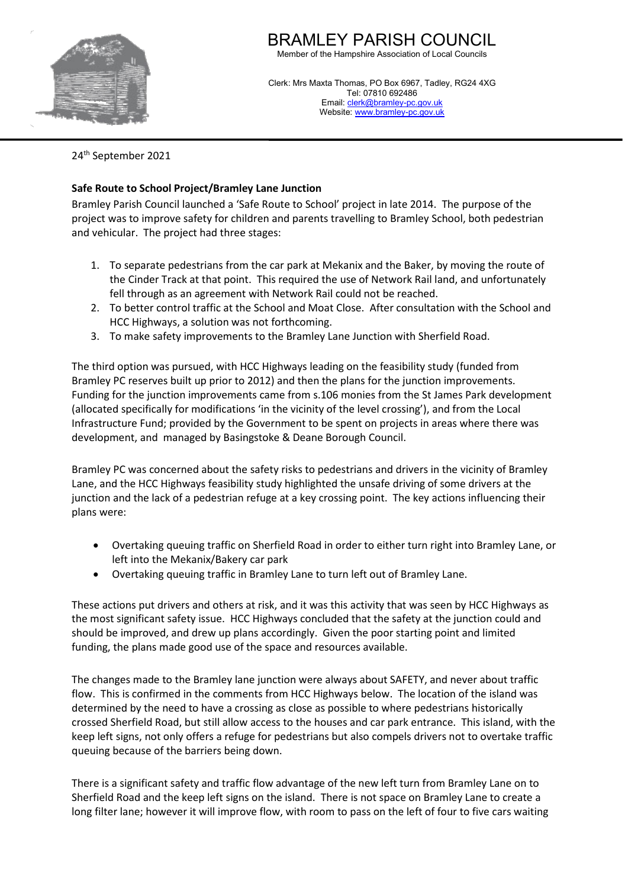

## BRAMLEY PARISH COUNCIL

Member of the Hampshire Association of Local Councils

Clerk: Mrs Maxta Thomas, PO Box 6967, Tadley, RG24 4XG Tel: 07810 692486 Email: [clerk@bramley-pc.gov.uk](mailto:clerk@bramley-pc.gov.uk) Website[: www.bramley-pc.gov.uk](http://www.bramley-pc.gov.uk/) 

24th September 2021

## **Safe Route to School Project/Bramley Lane Junction**

Bramley Parish Council launched a 'Safe Route to School' project in late 2014. The purpose of the project was to improve safety for children and parents travelling to Bramley School, both pedestrian and vehicular. The project had three stages:

- 1. To separate pedestrians from the car park at Mekanix and the Baker, by moving the route of the Cinder Track at that point. This required the use of Network Rail land, and unfortunately fell through as an agreement with Network Rail could not be reached.
- 2. To better control traffic at the School and Moat Close. After consultation with the School and HCC Highways, a solution was not forthcoming.
- 3. To make safety improvements to the Bramley Lane Junction with Sherfield Road.

The third option was pursued, with HCC Highways leading on the feasibility study (funded from Bramley PC reserves built up prior to 2012) and then the plans for the junction improvements. Funding for the junction improvements came from s.106 monies from the St James Park development (allocated specifically for modifications 'in the vicinity of the level crossing'), and from the Local Infrastructure Fund; provided by the Government to be spent on projects in areas where there was development, and managed by Basingstoke & Deane Borough Council.

Bramley PC was concerned about the safety risks to pedestrians and drivers in the vicinity of Bramley Lane, and the HCC Highways feasibility study highlighted the unsafe driving of some drivers at the junction and the lack of a pedestrian refuge at a key crossing point. The key actions influencing their plans were:

- Overtaking queuing traffic on Sherfield Road in order to either turn right into Bramley Lane, or left into the Mekanix/Bakery car park
- Overtaking queuing traffic in Bramley Lane to turn left out of Bramley Lane.

These actions put drivers and others at risk, and it was this activity that was seen by HCC Highways as the most significant safety issue. HCC Highways concluded that the safety at the junction could and should be improved, and drew up plans accordingly. Given the poor starting point and limited funding, the plans made good use of the space and resources available.

The changes made to the Bramley lane junction were always about SAFETY, and never about traffic flow. This is confirmed in the comments from HCC Highways below. The location of the island was determined by the need to have a crossing as close as possible to where pedestrians historically crossed Sherfield Road, but still allow access to the houses and car park entrance. This island, with the keep left signs, not only offers a refuge for pedestrians but also compels drivers not to overtake traffic queuing because of the barriers being down.

There is a significant safety and traffic flow advantage of the new left turn from Bramley Lane on to Sherfield Road and the keep left signs on the island. There is not space on Bramley Lane to create a long filter lane; however it will improve flow, with room to pass on the left of four to five cars waiting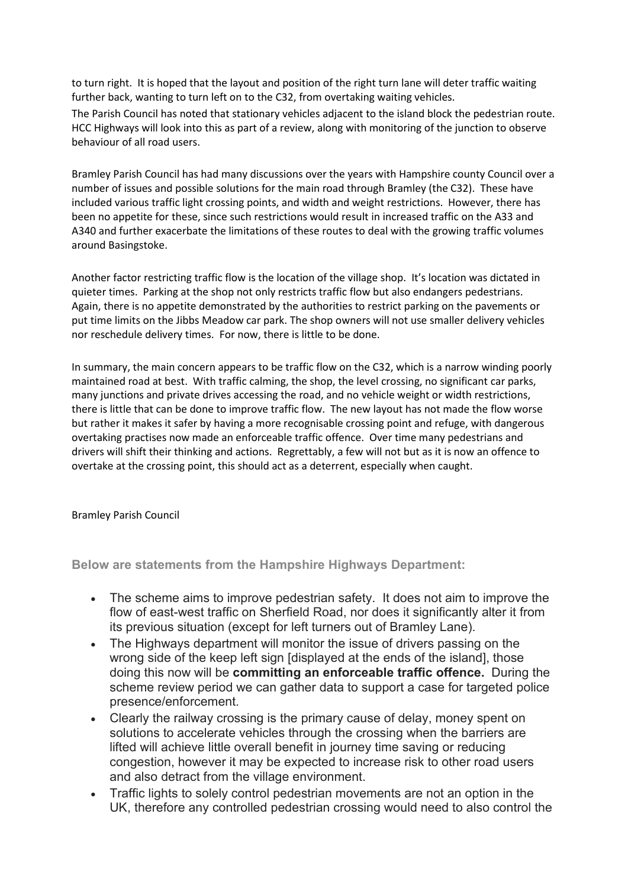to turn right. It is hoped that the layout and position of the right turn lane will deter traffic waiting further back, wanting to turn left on to the C32, from overtaking waiting vehicles. The Parish Council has noted that stationary vehicles adjacent to the island block the pedestrian route. HCC Highways will look into this as part of a review, along with monitoring of the junction to observe behaviour of all road users.

Bramley Parish Council has had many discussions over the years with Hampshire county Council over a number of issues and possible solutions for the main road through Bramley (the C32). These have included various traffic light crossing points, and width and weight restrictions. However, there has been no appetite for these, since such restrictions would result in increased traffic on the A33 and A340 and further exacerbate the limitations of these routes to deal with the growing traffic volumes around Basingstoke.

Another factor restricting traffic flow is the location of the village shop. It's location was dictated in quieter times. Parking at the shop not only restricts traffic flow but also endangers pedestrians. Again, there is no appetite demonstrated by the authorities to restrict parking on the pavements or put time limits on the Jibbs Meadow car park. The shop owners will not use smaller delivery vehicles nor reschedule delivery times. For now, there is little to be done.

In summary, the main concern appears to be traffic flow on the C32, which is a narrow winding poorly maintained road at best. With traffic calming, the shop, the level crossing, no significant car parks, many junctions and private drives accessing the road, and no vehicle weight or width restrictions, there is little that can be done to improve traffic flow. The new layout has not made the flow worse but rather it makes it safer by having a more recognisable crossing point and refuge, with dangerous overtaking practises now made an enforceable traffic offence. Over time many pedestrians and drivers will shift their thinking and actions. Regrettably, a few will not but as it is now an offence to overtake at the crossing point, this should act as a deterrent, especially when caught.

Bramley Parish Council

**Below are statements from the Hampshire Highways Department:**

- The scheme aims to improve pedestrian safety. It does not aim to improve the flow of east-west traffic on Sherfield Road, nor does it significantly alter it from its previous situation (except for left turners out of Bramley Lane).
- The Highways department will monitor the issue of drivers passing on the wrong side of the keep left sign [displayed at the ends of the island], those doing this now will be **committing an enforceable traffic offence.** During the scheme review period we can gather data to support a case for targeted police presence/enforcement.
- Clearly the railway crossing is the primary cause of delay, money spent on solutions to accelerate vehicles through the crossing when the barriers are lifted will achieve little overall benefit in journey time saving or reducing congestion, however it may be expected to increase risk to other road users and also detract from the village environment.
- Traffic lights to solely control pedestrian movements are not an option in the UK, therefore any controlled pedestrian crossing would need to also control the